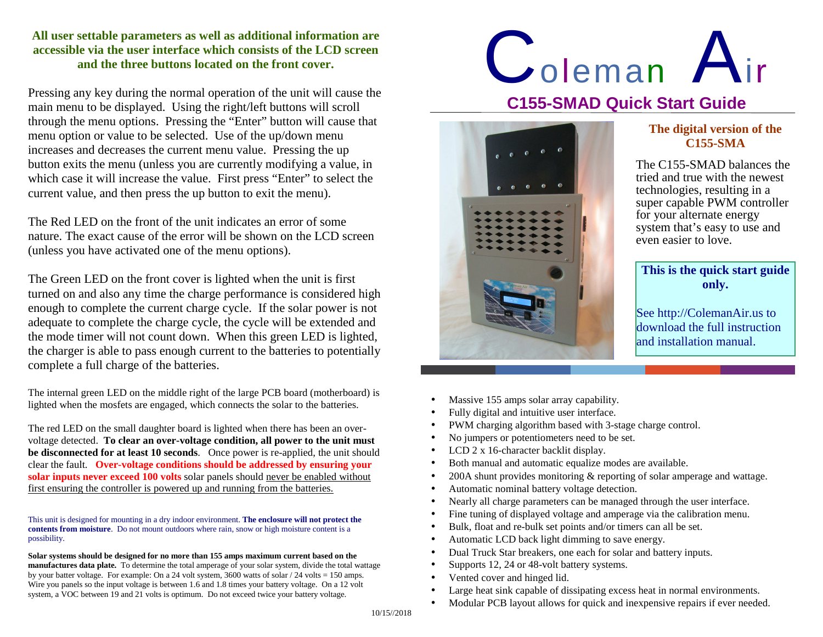## **All user settable parameters as well as additional information are accessible via the user interface which consists of the LCD screen and the three buttons located on the front cover.**

Pressing any key during the normal operation of the unit will cause the main menu to be displayed. Using the right/left buttons will scroll through the menu options. Pressing the "Enter" button will cause that menu option or value to be selected. Use of the up/down menu increases and decreases the current menu value. Pressing the up button exits the menu (unless you are currently modifying a value, in which case it will increase the value. First press "Enter" to select the current value, and then press the up button to exit the menu).

The Red LED on the front of the unit indicates an error of some nature. The exact cause of the error will be shown on the LCD screen (unless you have activated one of the menu options).

The Green LED on the front cover is lighted when the unit is first turned on and also any time the charge performance is considered high enough to complete the current charge cycle. If the solar power is not adequate to complete the charge cycle, the cycle will be extended and the mode timer will not count down. When this green LED is lighted, the charger is able to pass enough current to the batteries to potentially complete a full charge of the batteries.

The internal green LED on the middle right of the large PCB board (motherboard) is lighted when the mosfets are engaged, which connects the solar to the batteries.

The red LED on the small daughter board is lighted when there has been an overvoltage detected. **To clear an over-voltage condition, all power to the unit must be disconnected for at least 10 seconds**. Once power is re-applied, the unit should clear the fault. **Over-voltage conditions should be addressed by ensuring your** solar inputs never exceed 100 volts solar panels should never be enabled without first ensuring the controller is powered up and running from the batteries.

This unit is designed for mounting in a dry indoor environment. **The enclosure will not protect the contents from moisture**. Do not mount outdoors where rain, snow or high moisture content is a possibility.

**Solar systems should be designed for no more than 155 amps maximum current based on the manufactures data plate.** To determine the total amperage of your solar system, divide the total wattage by your batter voltage. For example: On a 24 volt system, 3600 watts of solar / 24 volts = 150 amps. Wire you panels so the input voltage is between 1.6 and 1.8 times your battery voltage. On a 12 volt system, a VOC between 19 and 21 volts is optimum. Do not exceed twice your battery voltage.

## **Coleman C155-SMAD Quick Start Guide** $n$  Air



## **The digital version of the C155-SMA**

The C155-SMAD balances the tried and true with the newest technologies, resulting in a super capable PWM controller for your alternate energy system that's easy to use and even easier to love.

**This is the quick start guide only.** 

See http://ColemanAir.us to download the full instruction and installation manual.

- •Massive 155 amps solar array capability.
- Fully digital and intuitive user interface.
- PWM charging algorithm based with 3-stage charge control.
- No jumpers or potentiometers need to be set.
- LCD 2 x 16-character backlit display.
- Both manual and automatic equalize modes are available.
- 200A shunt provides monitoring & reporting of solar amperage and wattage.
- Automatic nominal battery voltage detection.
- Nearly all charge parameters can be managed through the user interface.
- Fine tuning of displayed voltage and amperage via the calibration menu.
- Bulk, float and re-bulk set points and/or timers can all be set.
- Automatic LCD back light dimming to save energy.
- Dual Truck Star breakers, one each for solar and battery inputs.
- Supports 12, 24 or 48-volt battery systems.
- Vented cover and hinged lid.
- Large heat sink capable of dissipating excess heat in normal environments.
- Modular PCB layout allows for quick and inexpensive repairs if ever needed.